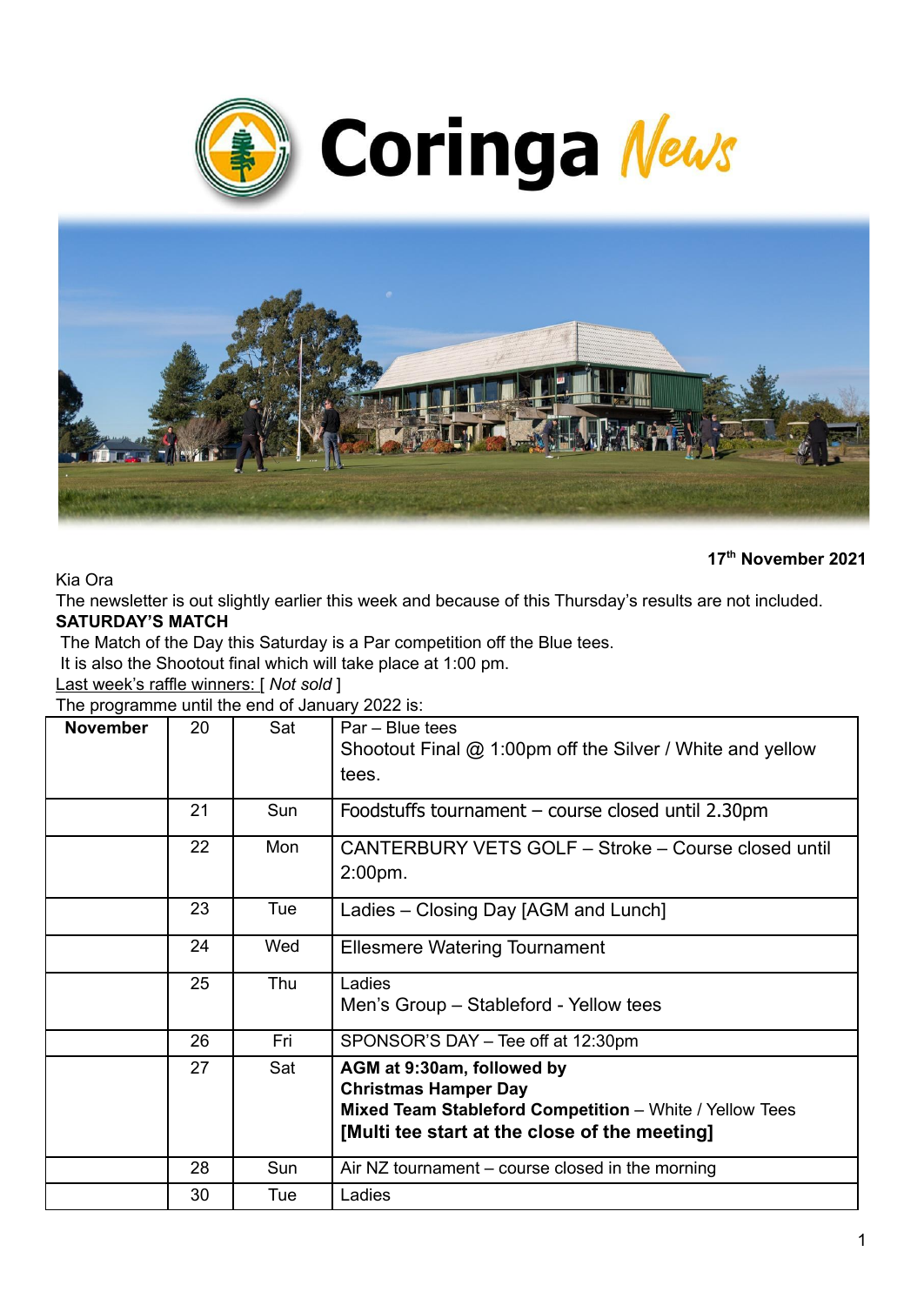



Kia Ora

**17 th November 2021**

The newsletter is out slightly earlier this week and because of this Thursday's results are not included. **SATURDAY'S MATCH**

The Match of the Day this Saturday is a Par competition off the Blue tees.

It is also the Shootout final which will take place at 1:00 pm.

Last week's raffle winners: [ *Not sold* ]

The programme until the end of January 2022 is:

| <b>November</b> | 20 | Sat | Par - Blue tees<br>Shootout Final @ 1:00pm off the Silver / White and yellow<br>tees.                                                                                 |
|-----------------|----|-----|-----------------------------------------------------------------------------------------------------------------------------------------------------------------------|
|                 | 21 | Sun | Foodstuffs tournament - course closed until 2.30pm                                                                                                                    |
|                 | 22 | Mon | CANTERBURY VETS GOLF - Stroke - Course closed until<br>$2:00pm$ .                                                                                                     |
|                 | 23 | Tue | Ladies – Closing Day [AGM and Lunch]                                                                                                                                  |
|                 | 24 | Wed | <b>Ellesmere Watering Tournament</b>                                                                                                                                  |
|                 | 25 | Thu | Ladies<br>Men's Group – Stableford - Yellow tees                                                                                                                      |
|                 | 26 | Fri | SPONSOR'S DAY - Tee off at 12:30pm                                                                                                                                    |
|                 | 27 | Sat | AGM at 9:30am, followed by<br><b>Christmas Hamper Day</b><br>Mixed Team Stableford Competition - White / Yellow Tees<br>[Multi tee start at the close of the meeting] |
|                 | 28 | Sun | Air NZ tournament $-$ course closed in the morning                                                                                                                    |
|                 | 30 | Tue | Ladies                                                                                                                                                                |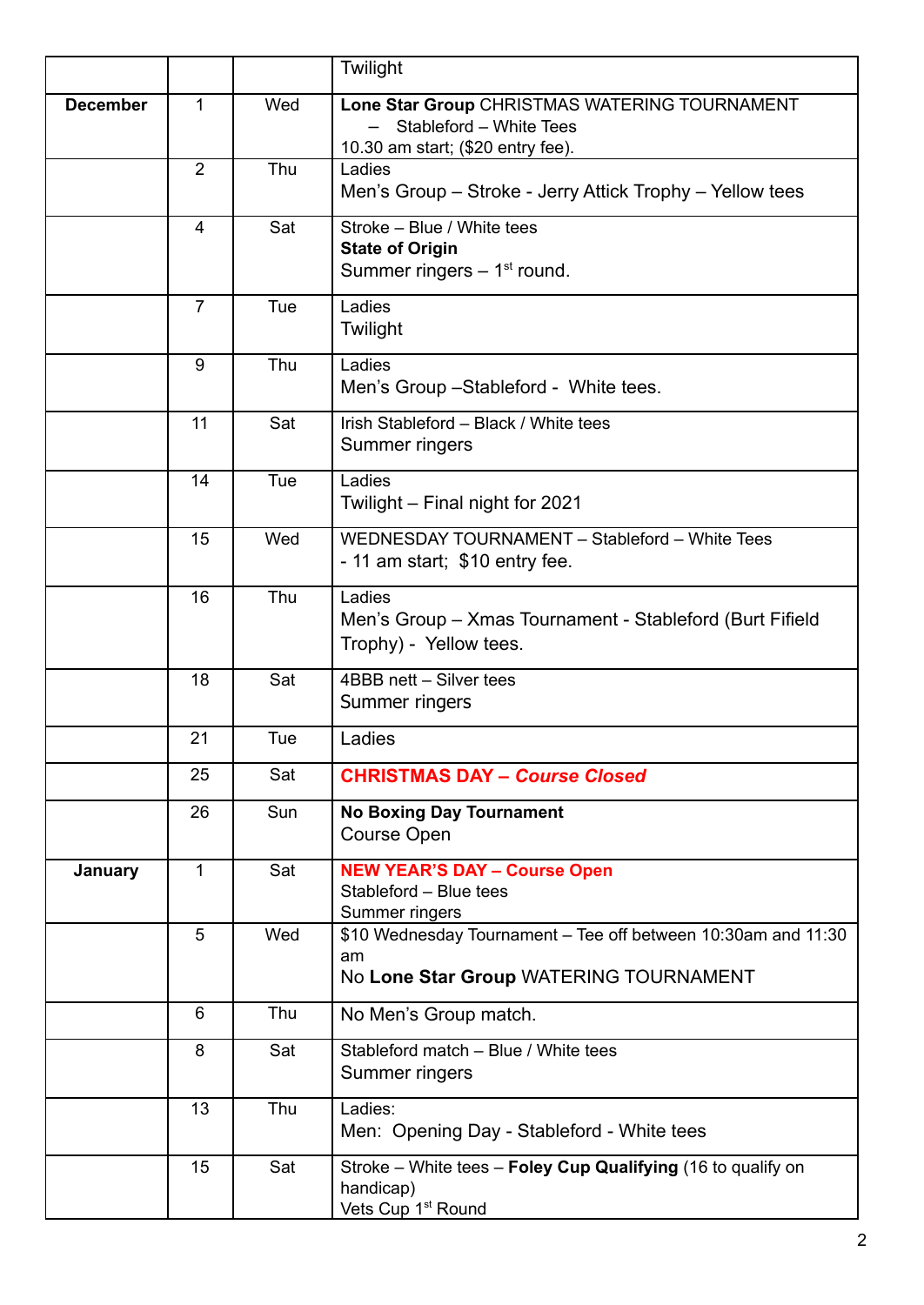|                 |                |     | Twilight                                                                                                      |
|-----------------|----------------|-----|---------------------------------------------------------------------------------------------------------------|
| <b>December</b> | 1              | Wed | Lone Star Group CHRISTMAS WATERING TOURNAMENT<br>Stableford - White Tees<br>10.30 am start; (\$20 entry fee). |
|                 | $\overline{2}$ | Thu | Ladies<br>Men's Group - Stroke - Jerry Attick Trophy - Yellow tees                                            |
|                 | 4              | Sat | Stroke - Blue / White tees<br><b>State of Origin</b><br>Summer ringers $-1st$ round.                          |
|                 | $\overline{7}$ | Tue | Ladies<br>Twilight                                                                                            |
|                 | 9              | Thu | Ladies<br>Men's Group - Stableford - White tees.                                                              |
|                 | 11             | Sat | Irish Stableford - Black / White tees<br>Summer ringers                                                       |
|                 | 14             | Tue | Ladies<br>Twilight - Final night for 2021                                                                     |
|                 | 15             | Wed | WEDNESDAY TOURNAMENT - Stableford - White Tees<br>- 11 am start; \$10 entry fee.                              |
|                 | 16             | Thu | Ladies<br>Men's Group - Xmas Tournament - Stableford (Burt Fifield<br>Trophy) - Yellow tees.                  |
|                 | 18             | Sat | 4BBB nett - Silver tees<br>Summer ringers                                                                     |
|                 | 21             | Tue | Ladies                                                                                                        |
|                 | 25             | Sat | <b>CHRISTMAS DAY - Course Closed</b>                                                                          |
|                 | 26             | Sun | <b>No Boxing Day Tournament</b><br><b>Course Open</b>                                                         |
| January         | $\mathbf 1$    | Sat | <b>NEW YEAR'S DAY - Course Open</b><br>Stableford - Blue tees<br>Summer ringers                               |
|                 | 5              | Wed | \$10 Wednesday Tournament - Tee off between 10:30am and 11:30<br>am<br>No Lone Star Group WATERING TOURNAMENT |
|                 | 6              | Thu | No Men's Group match.                                                                                         |
|                 | 8              | Sat | Stableford match - Blue / White tees<br>Summer ringers                                                        |
|                 | 13             | Thu | Ladies:<br>Men: Opening Day - Stableford - White tees                                                         |
|                 | 15             | Sat | Stroke – White tees – Foley Cup Qualifying (16 to qualify on<br>handicap)<br>Vets Cup 1 <sup>st</sup> Round   |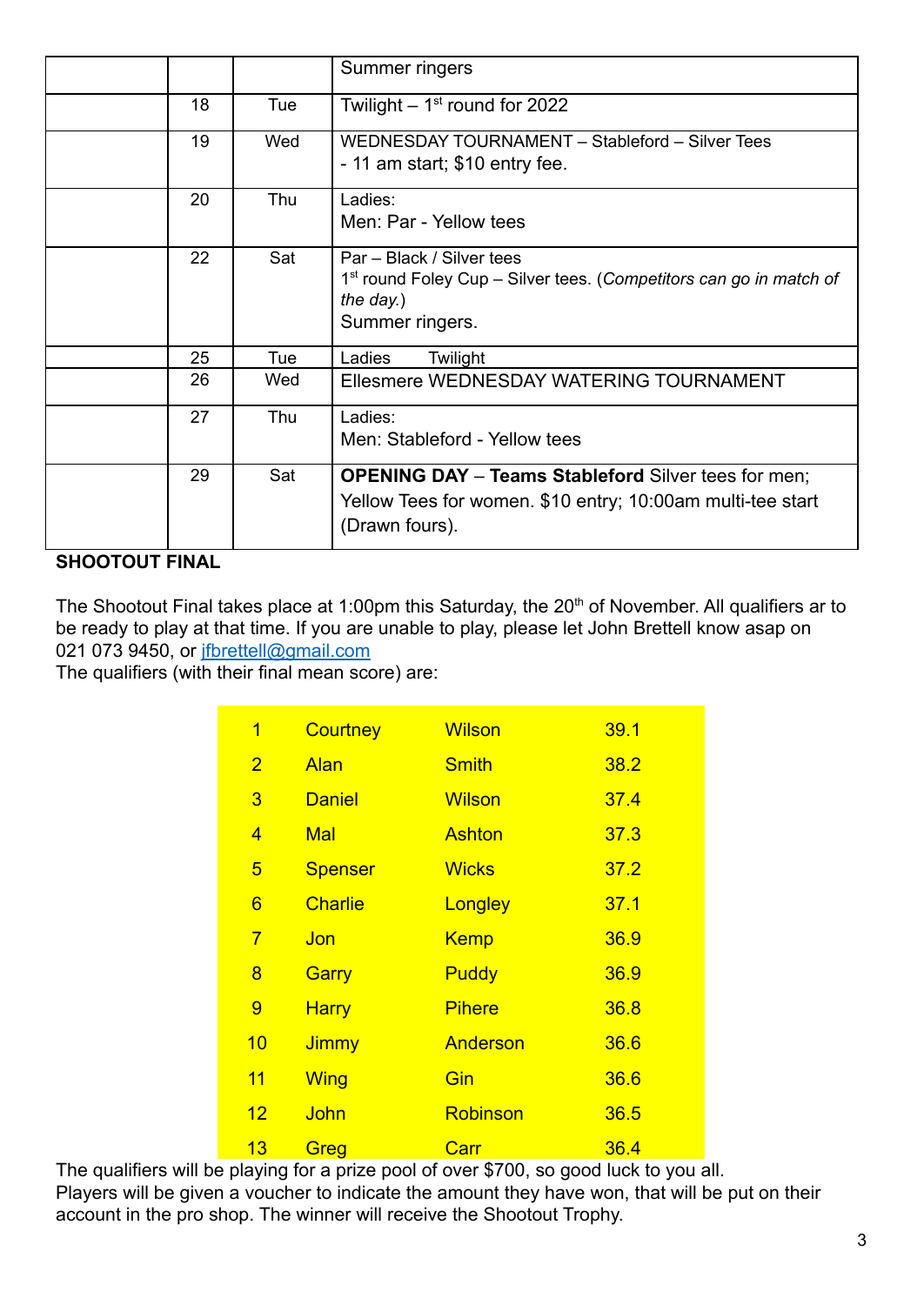|    |     | Summer ringers                                                                                                                              |
|----|-----|---------------------------------------------------------------------------------------------------------------------------------------------|
| 18 | Tue | Twilight $-1st$ round for 2022                                                                                                              |
| 19 | Wed | WEDNESDAY TOURNAMENT - Stableford - Silver Tees<br>- 11 am start; \$10 entry fee.                                                           |
| 20 | Thu | Ladies:<br>Men: Par - Yellow tees                                                                                                           |
| 22 | Sat | Par - Black / Silver tees<br>1 <sup>st</sup> round Foley Cup – Silver tees. (Competitors can go in match of<br>the day.)<br>Summer ringers. |
| 25 | Tue | Twilight<br>Ladies                                                                                                                          |
| 26 | Wed | Ellesmere WEDNESDAY WATERING TOURNAMENT                                                                                                     |
| 27 | Thu | Ladies:<br>Men: Stableford - Yellow tees                                                                                                    |
| 29 | Sat | <b>OPENING DAY - Teams Stableford Silver tees for men;</b><br>Yellow Tees for women. \$10 entry; 10:00am multi-tee start<br>(Drawn fours).  |

### **SHOOTOUT FINAL**

The Shootout Final takes place at 1:00pm this Saturday, the 20<sup>th</sup> of November. All qualifiers ar to be ready to play at that time. If you are unable to play, please let John Brettell know asap on 021 073 9450, or *[jfbrettell@gmail.com](mailto:jfbrettell@gmail.com)* 

The qualifiers (with their final mean score) are:

| 1              | <b>Courtney</b> | <b>Wilson</b> | 39.1 |
|----------------|-----------------|---------------|------|
| $\overline{2}$ | <b>Alan</b>     | <b>Smith</b>  | 38.2 |
| 3              | <b>Daniel</b>   | <b>Wilson</b> | 37.4 |
| 4              | <b>Mal</b>      | <b>Ashton</b> | 37.3 |
| 5              | <b>Spenser</b>  | <b>Wicks</b>  | 37.2 |
| 6              | <b>Charlie</b>  | Longley       | 37.1 |
| $\overline{7}$ | Jon             | <b>Kemp</b>   | 36.9 |
| 8              | Garry           | <b>Puddy</b>  | 36.9 |
| 9              | <b>Harry</b>    | <b>Pihere</b> | 36.8 |
| 10             | Jimmy           | Anderson      | 36.6 |
| 11             | <b>Wing</b>     | Gin           | 36.6 |
| 12             | John            | Robinson      | 36.5 |
| 13             | Greg            | Carr          | 36.4 |

The qualifiers will be playing for a prize pool of over \$700, so good luck to you all. Players will be given a voucher to indicate the amount they have won, that will be put on their account in the pro shop. The winner will receive the Shootout Trophy.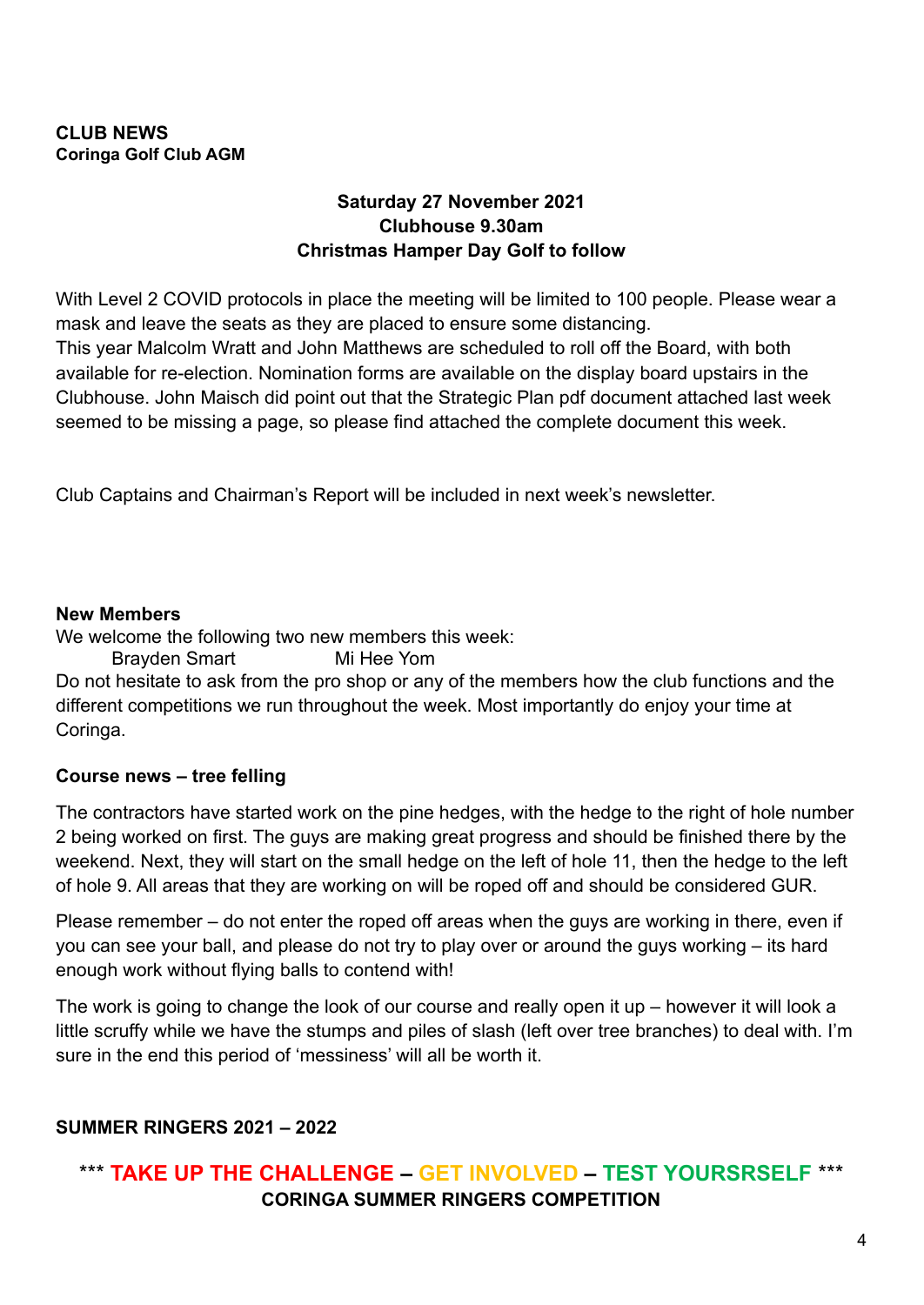#### **CLUB NEWS Coringa Golf Club AGM**

### **Saturday 27 November 2021 Clubhouse 9.30am Christmas Hamper Day Golf to follow**

With Level 2 COVID protocols in place the meeting will be limited to 100 people. Please wear a mask and leave the seats as they are placed to ensure some distancing. This year Malcolm Wratt and John Matthews are scheduled to roll off the Board, with both available for re-election. Nomination forms are available on the display board upstairs in the Clubhouse. John Maisch did point out that the Strategic Plan pdf document attached last week seemed to be missing a page, so please find attached the complete document this week.

Club Captains and Chairman's Report will be included in next week's newsletter.

#### **New Members**

We welcome the following two new members this week:

Brayden Smart Mi Hee Yom Do not hesitate to ask from the pro shop or any of the members how the club functions and the different competitions we run throughout the week. Most importantly do enjoy your time at Coringa.

### **Course news – tree felling**

The contractors have started work on the pine hedges, with the hedge to the right of hole number 2 being worked on first. The guys are making great progress and should be finished there by the weekend. Next, they will start on the small hedge on the left of hole 11, then the hedge to the left of hole 9. All areas that they are working on will be roped off and should be considered GUR.

Please remember – do not enter the roped off areas when the guys are working in there, even if you can see your ball, and please do not try to play over or around the guys working – its hard enough work without flying balls to contend with!

The work is going to change the look of our course and really open it up – however it will look a little scruffy while we have the stumps and piles of slash (left over tree branches) to deal with. I'm sure in the end this period of 'messiness' will all be worth it.

### **SUMMER RINGERS 2021 – 2022**

# \*\*\* **TAKE UP THE CHALLENGE – GET INVOLVED – TEST YOURSRSELF** \*\*\* **CORINGA SUMMER RINGERS COMPETITION**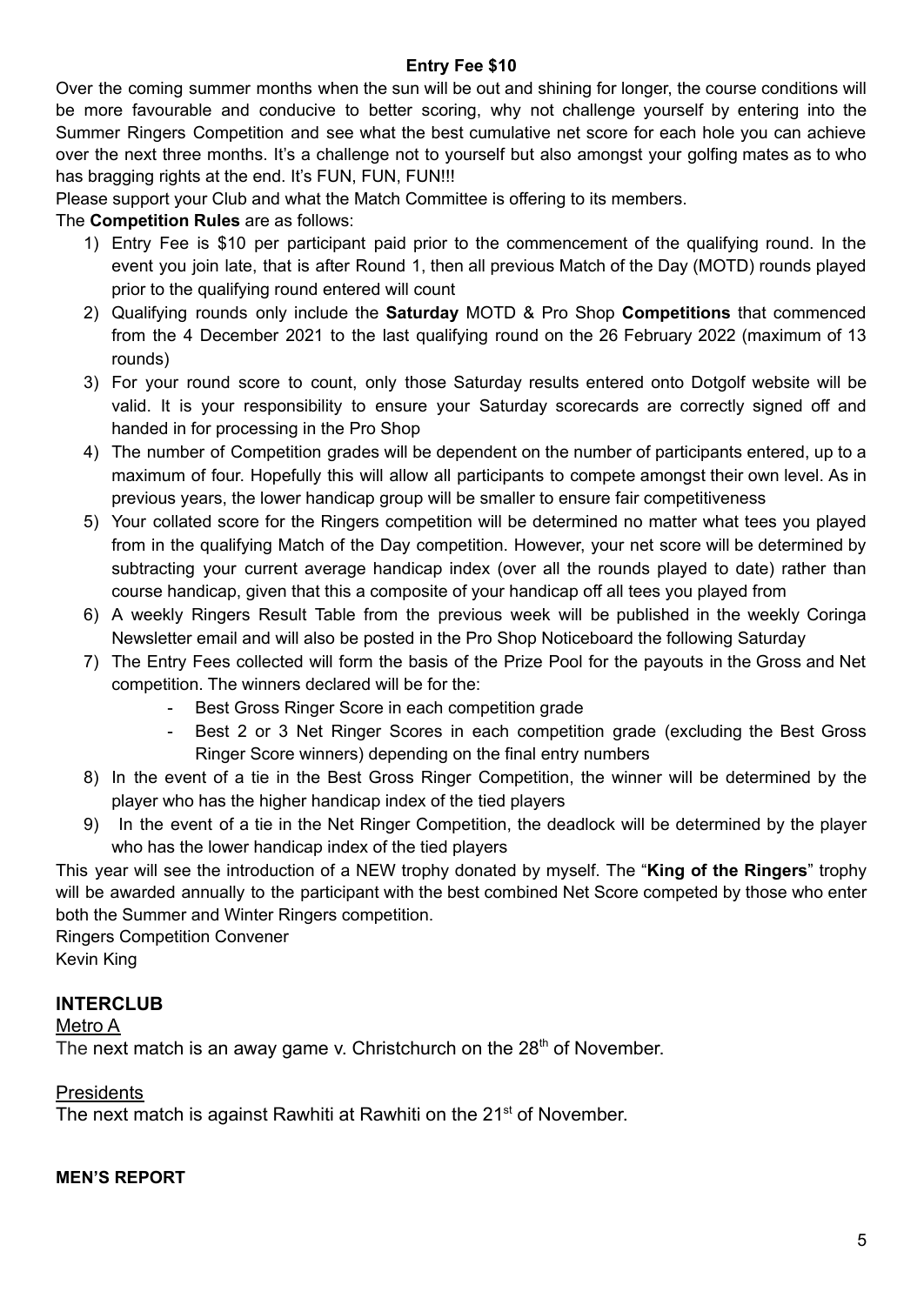#### **Entry Fee \$10**

Over the coming summer months when the sun will be out and shining for longer, the course conditions will be more favourable and conducive to better scoring, why not challenge yourself by entering into the Summer Ringers Competition and see what the best cumulative net score for each hole you can achieve over the next three months. It's a challenge not to yourself but also amongst your golfing mates as to who has bragging rights at the end. It's FUN, FUN, FUN!!!

Please support your Club and what the Match Committee is offering to its members.

#### The **Competition Rules** are as follows:

- 1) Entry Fee is \$10 per participant paid prior to the commencement of the qualifying round. In the event you join late, that is after Round 1, then all previous Match of the Day (MOTD) rounds played prior to the qualifying round entered will count
- 2) Qualifying rounds only include the **Saturday** MOTD & Pro Shop **Competitions** that commenced from the 4 December 2021 to the last qualifying round on the 26 February 2022 (maximum of 13 rounds)
- 3) For your round score to count, only those Saturday results entered onto Dotgolf website will be valid. It is your responsibility to ensure your Saturday scorecards are correctly signed off and handed in for processing in the Pro Shop
- 4) The number of Competition grades will be dependent on the number of participants entered, up to a maximum of four. Hopefully this will allow all participants to compete amongst their own level. As in previous years, the lower handicap group will be smaller to ensure fair competitiveness
- 5) Your collated score for the Ringers competition will be determined no matter what tees you played from in the qualifying Match of the Day competition. However, your net score will be determined by subtracting your current average handicap index (over all the rounds played to date) rather than course handicap, given that this a composite of your handicap off all tees you played from
- 6) A weekly Ringers Result Table from the previous week will be published in the weekly Coringa Newsletter email and will also be posted in the Pro Shop Noticeboard the following Saturday
- 7) The Entry Fees collected will form the basis of the Prize Pool for the payouts in the Gross and Net competition. The winners declared will be for the:
	- Best Gross Ringer Score in each competition grade
	- Best 2 or 3 Net Ringer Scores in each competition grade (excluding the Best Gross Ringer Score winners) depending on the final entry numbers
- 8) In the event of a tie in the Best Gross Ringer Competition, the winner will be determined by the player who has the higher handicap index of the tied players
- 9) In the event of a tie in the Net Ringer Competition, the deadlock will be determined by the player who has the lower handicap index of the tied players

This year will see the introduction of a NEW trophy donated by myself. The "**King of the Ringers**" trophy will be awarded annually to the participant with the best combined Net Score competed by those who enter both the Summer and Winter Ringers competition.

Ringers Competition Convener

Kevin King

### **INTERCLUB**

Metro A

The next match is an away game v. Christchurch on the 28<sup>th</sup> of November.

#### **Presidents**

The next match is against Rawhiti at Rawhiti on the 21<sup>st</sup> of November.

#### **MEN'S REPORT**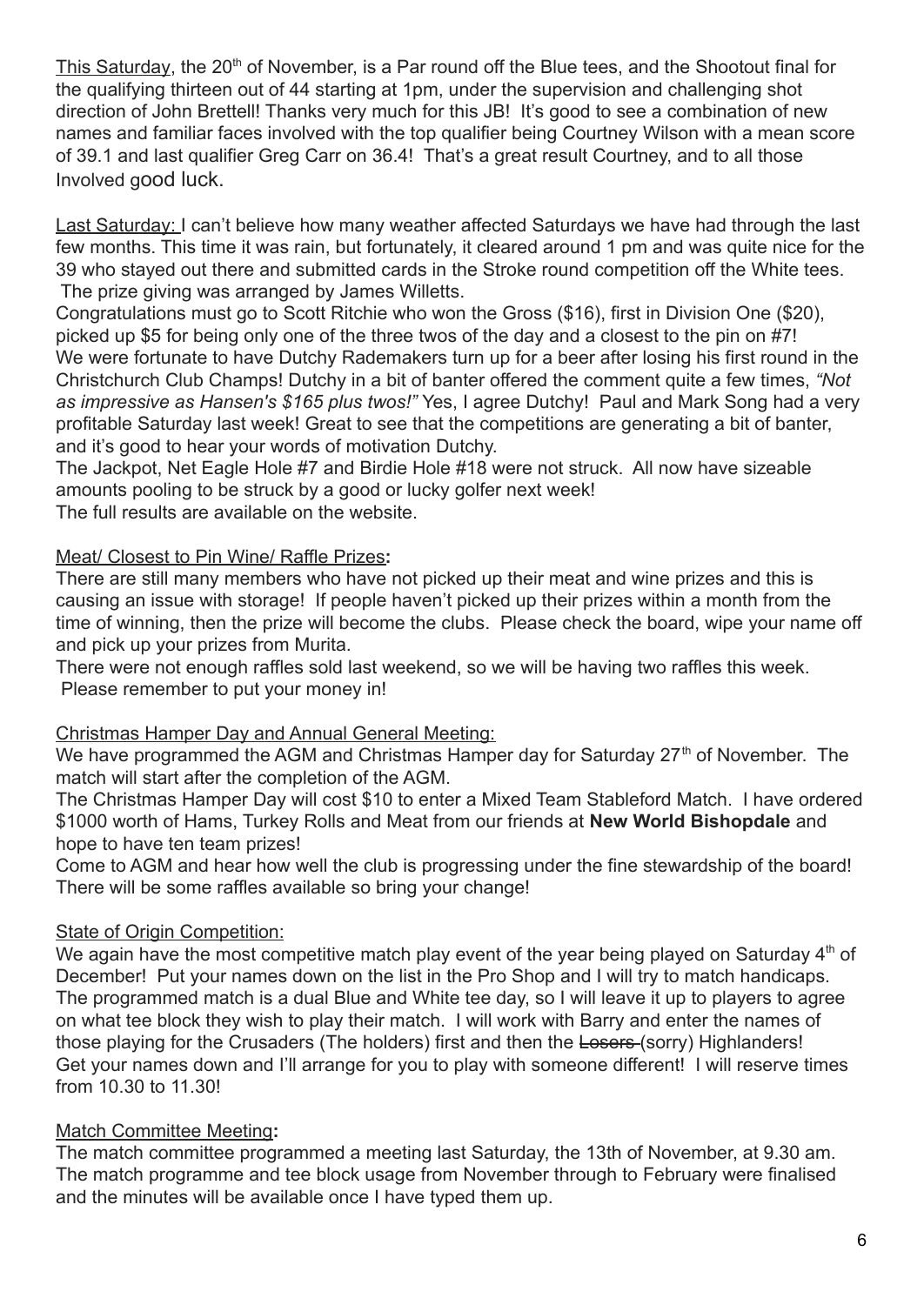This Saturday, the 20<sup>th</sup> of November, is a Par round off the Blue tees, and the Shootout final for the qualifying thirteen out of 44 starting at 1pm, under the supervision and challenging shot direction of John Brettell! Thanks very much for this JB! It's good to see a combination of new names and familiar faces involved with the top qualifier being Courtney Wilson with a mean score of 39.1 and last qualifier Greg Carr on 36.4! That's a great result Courtney, and to all those Involved good luck.

Last Saturday: I can't believe how many weather affected Saturdays we have had through the last few months. This time it was rain, but fortunately, it cleared around 1 pm and was quite nice for the 39 who stayed out there and submitted cards in the Stroke round competition off the White tees. The prize giving was arranged by James Willetts.

Congratulations must go to Scott Ritchie who won the Gross (\$16), first in Division One (\$20), picked up \$5 for being only one of the three twos of the day and a closest to the pin on #7! We were fortunate to have Dutchy Rademakers turn up for a beer after losing his first round in the Christchurch Club Champs! Dutchy in a bit of banter offered the comment quite a few times, *"Not as impressive as Hansen's \$165 plus twos!"* Yes, I agree Dutchy! Paul and Mark Song had a very profitable Saturday last week! Great to see that the competitions are generating a bit of banter, and it's good to hear your words of motivation Dutchy.

The Jackpot, Net Eagle Hole #7 and Birdie Hole #18 were not struck. All now have sizeable amounts pooling to be struck by a good or lucky golfer next week! The full results are available on the website.

### Meat/ Closest to Pin Wine/ Raffle Prizes**:**

There are still many members who have not picked up their meat and wine prizes and this is causing an issue with storage! If people haven't picked up their prizes within a month from the time of winning, then the prize will become the clubs. Please check the board, wipe your name off and pick up your prizes from Murita.

There were not enough raffles sold last weekend, so we will be having two raffles this week. Please remember to put your money in!

### Christmas Hamper Day and Annual General Meeting:

We have programmed the AGM and Christmas Hamper day for Saturday  $27<sup>th</sup>$  of November. The match will start after the completion of the AGM.

The Christmas Hamper Day will cost \$10 to enter a Mixed Team Stableford Match. I have ordered \$1000 worth of Hams, Turkey Rolls and Meat from our friends at **New World Bishopdale** and hope to have ten team prizes!

Come to AGM and hear how well the club is progressing under the fine stewardship of the board! There will be some raffles available so bring your change!

## **State of Origin Competition:**

We again have the most competitive match play event of the year being played on Saturday  $4<sup>th</sup>$  of December! Put your names down on the list in the Pro Shop and I will try to match handicaps. The programmed match is a dual Blue and White tee day, so I will leave it up to players to agree on what tee block they wish to play their match. I will work with Barry and enter the names of those playing for the Crusaders (The holders) first and then the Losers-(sorry) Highlanders! Get your names down and I'll arrange for you to play with someone different! I will reserve times from 10.30 to 11.30!

### Match Committee Meeting**:**

The match committee programmed a meeting last Saturday, the 13th of November, at 9.30 am. The match programme and tee block usage from November through to February were finalised and the minutes will be available once I have typed them up.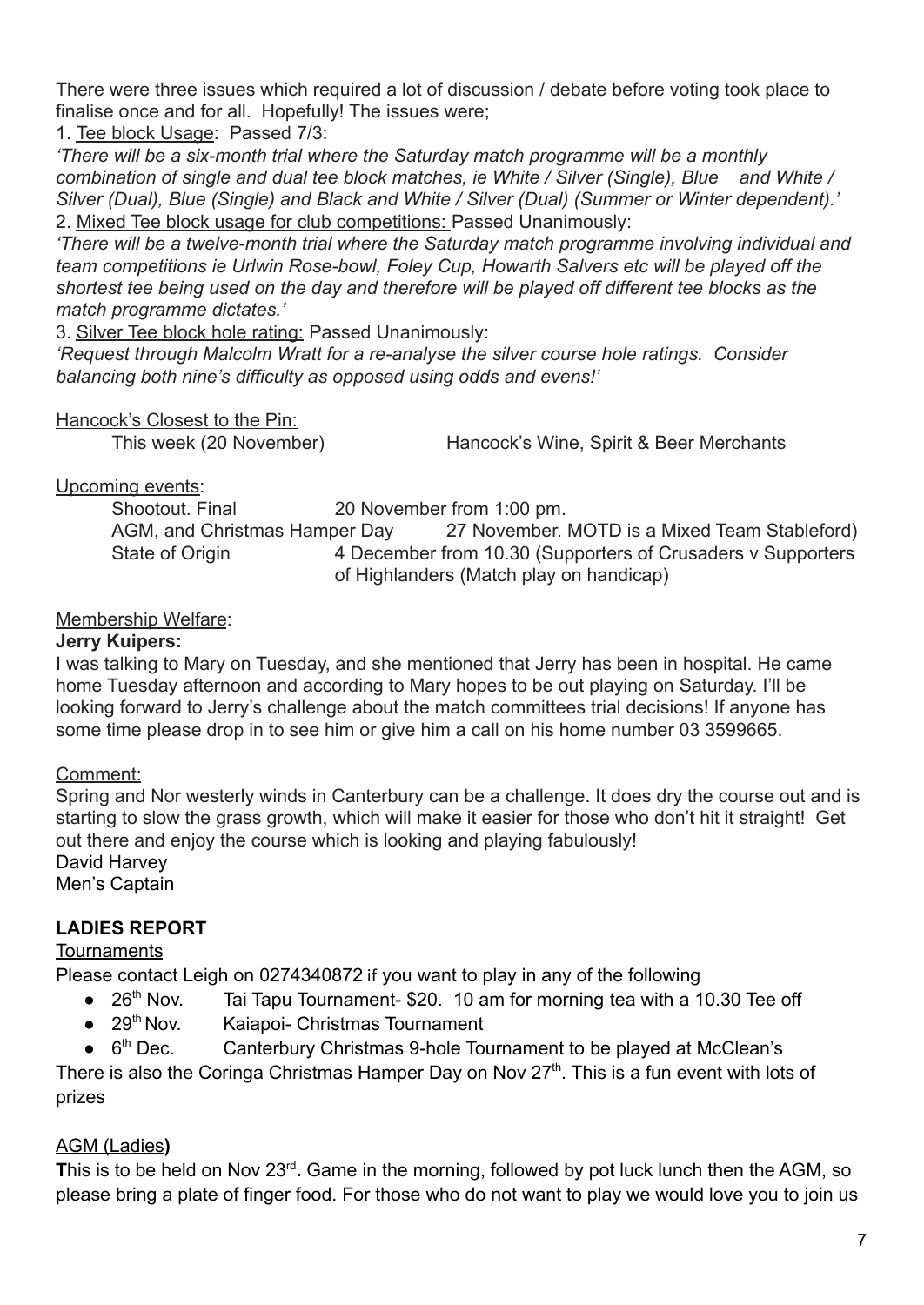There were three issues which required a lot of discussion / debate before voting took place to finalise once and for all. Hopefully! The issues were;

1. Tee block Usage: Passed 7/3:

*'There will be a six-month trial where the Saturday match programme will be a monthly combination of single and dual tee block matches, ie White / Silver (Single), Blue and White / Silver (Dual), Blue (Single) and Black and White / Silver (Dual) (Summer or Winter dependent).'* 2. Mixed Tee block usage for club competitions: Passed Unanimously:

*'There will be a twelve-month trial where the Saturday match programme involving individual and team competitions ie Urlwin Rose-bowl, Foley Cup, Howarth Salvers etc will be played off the shortest tee being used on the day and therefore will be played off different tee blocks as the match programme dictates.'*

3. Silver Tee block hole rating: Passed Unanimously:

*'Request through Malcolm Wratt for a re-analyse the silver course hole ratings. Consider balancing both nine's difficulty as opposed using odds and evens!'*

### Hancock's Closest to the Pin:

This week (20 November) Hancock's Wine, Spirit & Beer Merchants

Upcoming events:

Shootout. Final 20 November from 1:00 pm. AGM, and Christmas Hamper Day 27 November. MOTD is a Mixed Team Stableford) State of Origin 4 December from 10.30 (Supporters of Crusaders v Supporters of Highlanders (Match play on handicap)

Membership Welfare:

### **Jerry Kuipers:**

I was talking to Mary on Tuesday, and she mentioned that Jerry has been in hospital. He came home Tuesday afternoon and according to Mary hopes to be out playing on Saturday. I'll be looking forward to Jerry's challenge about the match committees trial decisions! If anyone has some time please drop in to see him or give him a call on his home number 03 3599665.

Comment:

Spring and Nor westerly winds in Canterbury can be a challenge. It does dry the course out and is starting to slow the grass growth, which will make it easier for those who don't hit it straight! Get out there and enjoy the course which is looking and playing fabulously! David Harvey

Men's Captain

# **LADIES REPORT**

## **Tournaments**

Please contact Leigh on 0274340872 if you want to play in any of the following

- 26<sup>th</sup> Nov. Tai Tapu Tournament- \$20. 10 am for morning tea with a 10.30 Tee off
- 29<sup>th</sup> Nov. Kaiapoi- Christmas Tournament
- $\bullet$  6<sup>th</sup> Dec. Canterbury Christmas 9-hole Tournament to be played at McClean's

There is also the Coringa Christmas Hamper Day on Nov  $27<sup>th</sup>$ . This is a fun event with lots of prizes

## AGM (Ladies**)**

This is to be held on Nov 23<sup>rd</sup>. Game in the morning, followed by pot luck lunch then the AGM, so please bring a plate of finger food. For those who do not want to play we would love you to join us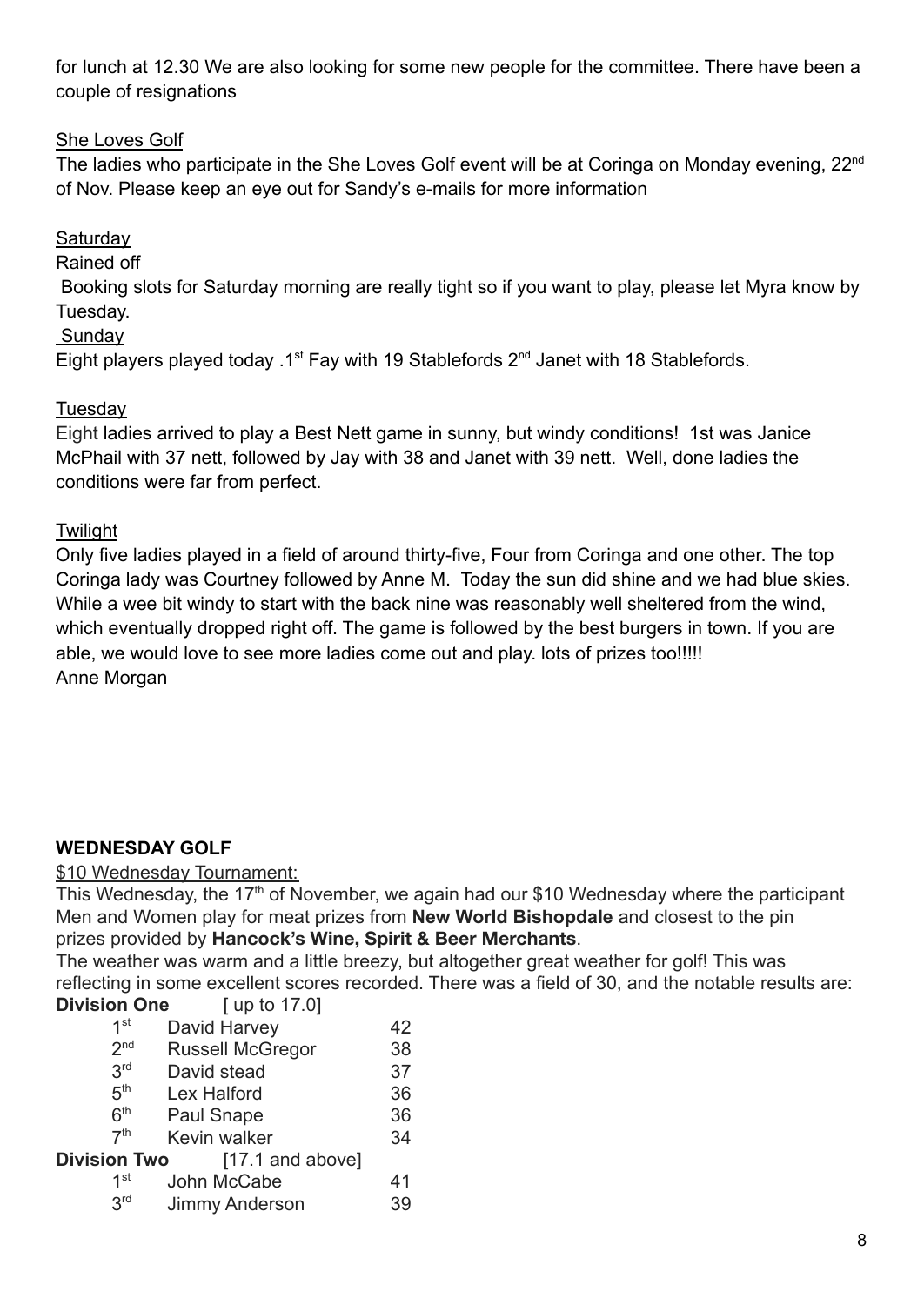for lunch at 12.30 We are also looking for some new people for the committee. There have been a couple of resignations

## She Loves Golf

The ladies who participate in the She Loves Golf event will be at Coringa on Monday evening, 22<sup>nd</sup> of Nov. Please keep an eye out for Sandy's e-mails for more information

## **Saturday**

Rained off

Booking slots for Saturday morning are really tight so if you want to play, please let Myra know by Tuesday.

**Sunday** 

Eight players played today .1<sup>st</sup> Fay with 19 Stablefords  $2^{nd}$  Janet with 18 Stablefords.

## **Tuesdav**

Eight ladies arrived to play a Best Nett game in sunny, but windy conditions! 1st was Janice McPhail with 37 nett, followed by Jay with 38 and Janet with 39 nett. Well, done ladies the conditions were far from perfect.

## **Twilight**

Only five ladies played in a field of around thirty-five, Four from Coringa and one other. The top Coringa lady was Courtney followed by Anne M. Today the sun did shine and we had blue skies. While a wee bit windy to start with the back nine was reasonably well sheltered from the wind, which eventually dropped right off. The game is followed by the best burgers in town. If you are able, we would love to see more ladies come out and play. lots of prizes too!!!!! Anne Morgan

## **WEDNESDAY GOLF**

### \$10 Wednesday Tournament:

This Wednesday, the  $17<sup>th</sup>$  of November, we again had our \$10 Wednesday where the participant Men and Women play for meat prizes from **New World Bishopdale** and closest to the pin prizes provided by **Hancock's Wine, Spirit & Beer Merchants**.

The weather was warm and a little breezy, but altogether great weather for golf! This was reflecting in some excellent scores recorded. There was a field of 30, and the notable results are: **Division One** [ up to 17.0]

|                     | $1.49.40$ $1.40$        |    |
|---------------------|-------------------------|----|
| 1 <sup>st</sup>     | David Harvey            | 42 |
| 2 <sub>nd</sub>     | <b>Russell McGregor</b> | 38 |
| 3 <sup>rd</sup>     | David stead             | 37 |
| 5 <sup>th</sup>     | <b>Lex Halford</b>      | 36 |
| 6 <sup>th</sup>     | <b>Paul Snape</b>       | 36 |
| 7 <sup>th</sup>     | Kevin walker            | 34 |
| <b>Division Two</b> | $[17.1$ and above]      |    |
| 1st                 | John McCabe             | 41 |
| 3 <sup>rd</sup>     | <b>Jimmy Anderson</b>   | 39 |
|                     |                         |    |